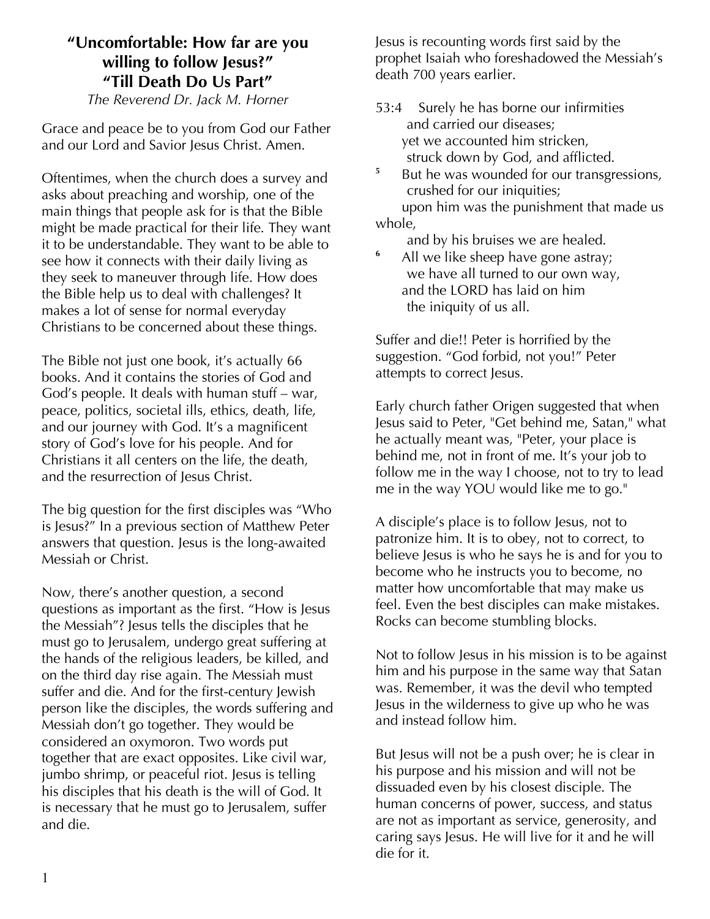## **"Uncomfortable: How far are you willing to follow Jesus?" "Till Death Do Us Part"**

*The Reverend Dr. Jack M. Horner*

Grace and peace be to you from God our Father and our Lord and Savior Jesus Christ. Amen.

Oftentimes, when the church does a survey and asks about preaching and worship, one of the main things that people ask for is that the Bible might be made practical for their life. They want it to be understandable. They want to be able to see how it connects with their daily living as they seek to maneuver through life. How does the Bible help us to deal with challenges? It makes a lot of sense for normal everyday Christians to be concerned about these things.

The Bible not just one book, it's actually 66 books. And it contains the stories of God and God's people. It deals with human stuff – war, peace, politics, societal ills, ethics, death, life, and our journey with God. It's a magnificent story of God's love for his people. And for Christians it all centers on the life, the death, and the resurrection of Jesus Christ.

The big question for the first disciples was "Who is Jesus?" In a previous section of Matthew Peter answers that question. Jesus is the long-awaited Messiah or Christ.

Now, there's another question, a second questions as important as the first. "How is Jesus the Messiah"? Jesus tells the disciples that he must go to Jerusalem, undergo great suffering at the hands of the religious leaders, be killed, and on the third day rise again. The Messiah must suffer and die. And for the first-century Jewish person like the disciples, the words suffering and Messiah don't go together. They would be considered an oxymoron. Two words put together that are exact opposites. Like civil war, jumbo shrimp, or peaceful riot. Jesus is telling his disciples that his death is the will of God. It is necessary that he must go to Jerusalem, suffer and die.

Jesus is recounting words first said by the prophet Isaiah who foreshadowed the Messiah's death 700 years earlier.

- 53:4 Surely he has borne our infirmities and carried our diseases; yet we accounted him stricken, struck down by God, and afflicted.
- <sup>5</sup> But he was wounded for our transgressions, crushed for our iniquities; upon him was the punishment that made us whole,

and by his bruises we are healed.

**<sup>6</sup>** All we like sheep have gone astray; we have all turned to our own way, and the LORD has laid on him the iniquity of us all.

Suffer and die!! Peter is horrified by the suggestion. "God forbid, not you!" Peter attempts to correct Jesus.

Early church father Origen suggested that when Jesus said to Peter, "Get behind me, Satan," what he actually meant was, "Peter, your place is behind me, not in front of me. It's your job to follow me in the way I choose, not to try to lead me in the way YOU would like me to go."

A disciple's place is to follow Jesus, not to patronize him. It is to obey, not to correct, to believe Jesus is who he says he is and for you to become who he instructs you to become, no matter how uncomfortable that may make us feel. Even the best disciples can make mistakes. Rocks can become stumbling blocks.

Not to follow Jesus in his mission is to be against him and his purpose in the same way that Satan was. Remember, it was the devil who tempted Jesus in the wilderness to give up who he was and instead follow him.

But Jesus will not be a push over; he is clear in his purpose and his mission and will not be dissuaded even by his closest disciple. The human concerns of power, success, and status are not as important as service, generosity, and caring says Jesus. He will live for it and he will die for it.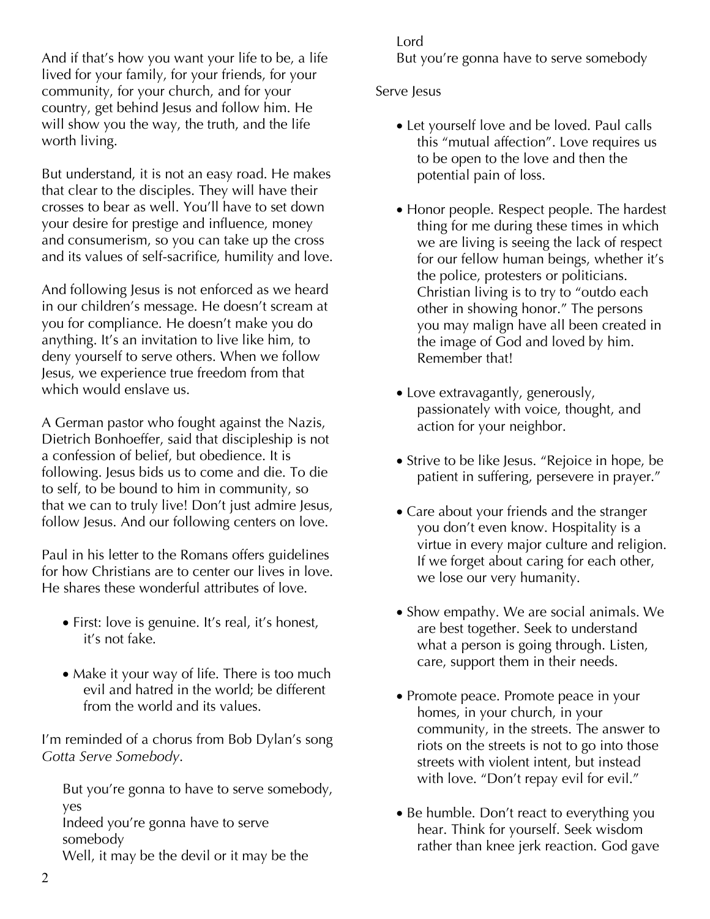And if that's how you want your life to be, a life lived for your family, for your friends, for your community, for your church, and for your country, get behind Jesus and follow him. He will show you the way, the truth, and the life worth living.

But understand, it is not an easy road. He makes that clear to the disciples. They will have their crosses to bear as well. You'll have to set down your desire for prestige and influence, money and consumerism, so you can take up the cross and its values of self-sacrifice, humility and love.

And following Jesus is not enforced as we heard in our children's message. He doesn't scream at you for compliance. He doesn't make you do anything. It's an invitation to live like him, to deny yourself to serve others. When we follow Jesus, we experience true freedom from that which would enslave us.

A German pastor who fought against the Nazis, Dietrich Bonhoeffer, said that discipleship is not a confession of belief, but obedience. It is following. Jesus bids us to come and die. To die to self, to be bound to him in community, so that we can to truly live! Don't just admire Jesus, follow Jesus. And our following centers on love.

Paul in his letter to the Romans offers guidelines for how Christians are to center our lives in love. He shares these wonderful attributes of love.

- First: love is genuine. It's real, it's honest, it's not fake.
- Make it your way of life. There is too much evil and hatred in the world; be different from the world and its values.

I'm reminded of a chorus from Bob Dylan's song *Gotta Serve Somebody*.

But you're gonna to have to serve somebody, yes Indeed you're gonna have to serve

somebody Well, it may be the devil or it may be the Lord

But you're gonna have to serve somebody

Serve Jesus

- Let yourself love and be loved. Paul calls this "mutual affection". Love requires us to be open to the love and then the potential pain of loss.
- Honor people. Respect people. The hardest thing for me during these times in which we are living is seeing the lack of respect for our fellow human beings, whether it's the police, protesters or politicians. Christian living is to try to "outdo each other in showing honor." The persons you may malign have all been created in the image of God and loved by him. Remember that!
- Love extravagantly, generously, passionately with voice, thought, and action for your neighbor.
- Strive to be like Jesus. "Rejoice in hope, be patient in suffering, persevere in prayer."
- Care about your friends and the stranger you don't even know. Hospitality is a virtue in every major culture and religion. If we forget about caring for each other, we lose our very humanity.
- Show empathy. We are social animals. We are best together. Seek to understand what a person is going through. Listen, care, support them in their needs.
- Promote peace. Promote peace in your homes, in your church, in your community, in the streets. The answer to riots on the streets is not to go into those streets with violent intent, but instead with love. "Don't repay evil for evil."
- Be humble. Don't react to everything you hear. Think for yourself. Seek wisdom rather than knee jerk reaction. God gave